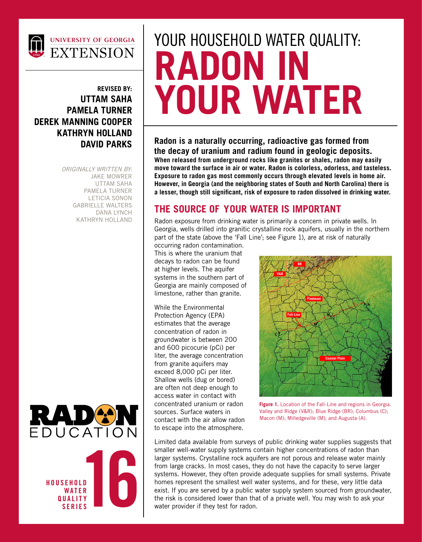

#### **REVISED BY: UTTAM SAHA PAMELA TURNER DEREK MANNING COOPER KATHRYN HOLLAND DAVID PARKS**

*ORIGINALLY WRITTEN BY:* JAKE MOWRER UTTAM SAHA PAMELA TURNER LETICIA SONON GABRIELLE WALTERS DANA LYNCH KATHRYN HOLLAND





# YOUR HOUSEHOLD WATER QUALITY: **RADON IN YOUR WATER**

**Radon is a naturally occurring, radioactive gas formed from the decay of uranium and radium found in geologic deposits. When released from underground rocks like granites or shales, radon may easily move toward the surface in air or water. Radon is colorless, odorless, and tasteless. Exposure to radon gas most commonly occurs through elevated levels in home air. However, in Georgia (and the neighboring states of South and North Carolina) there is a lesser, though still significant, risk of exposure to radon dissolved in drinking water.**

### **THE SOURCE OF YOUR WATER IS IMPORTANT**

Radon exposure from drinking water is primarily a concern in private wells. In Georgia, wells drilled into granitic crystalline rock aquifers, usually in the northern part of the state (above the 'Fall Line'; see Figure 1), are at risk of naturally

occurring radon contamination. This is where the uranium that decays to radon can be found at higher levels. The aquifer systems in the southern part of Georgia are mainly composed of limestone, rather than granite.

While the Environmental Protection Agency (EPA) estimates that the average concentration of radon in groundwater is between 200 and 600 picocurie (pCi) per liter, the average concentration from granite aquifers may exceed 8,000 pCi per liter. Shallow wells (dug or bored) are often not deep enough to access water in contact with concentrated uranium or radon sources. Surface waters in contact with the air allow radon to escape into the atmosphere.



**Figure 1.** Location of the Fall-Line and regions in Georgia. Valley and Ridge (V&R); Blue Ridge (BR); Columbus (C); Macon (M); Milledgeville (M); and Augusta (A).

Limited data available from surveys of public drinking water supplies suggests that smaller well-water supply systems contain higher concentrations of radon than larger systems. Crystalline rock aquifers are not porous and release water mainly from large cracks. In most cases, they do not have the capacity to serve larger systems. However, they often provide adequate supplies for small systems. Private homes represent the smallest well water systems, and for these, very little data exist. If you are served by a public water supply system sourced from groundwater, the risk is considered lower than that of a private well. You may wish to ask your water provider if they test for radon.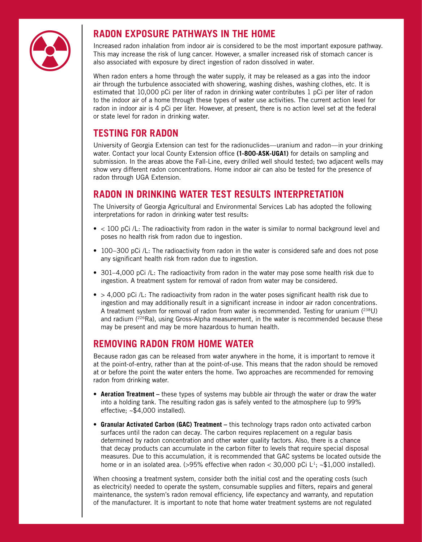

#### **RADON EXPOSURE PATHWAYS IN THE HOME**

Increased radon inhalation from indoor air is considered to be the most important exposure pathway. This may increase the risk of lung cancer. However, a smaller increased risk of stomach cancer is also associated with exposure by direct ingestion of radon dissolved in water.

When radon enters a home through the water supply, it may be released as a gas into the indoor air through the turbulence associated with showering, washing dishes, washing clothes, etc. It is estimated that 10,000 pCi per liter of radon in drinking water contributes 1 pCi per liter of radon to the indoor air of a home through these types of water use activities. The current action level for radon in indoor air is 4 pCi per liter. However, at present, there is no action level set at the federal or state level for radon in drinking water.

#### **TESTING FOR RADON**

University of Georgia Extension can test for the radionuclides—uranium and radon—in your drinking water. Contact your local County Extension office **(1-800-ASK-UGA1)** for details on sampling and submission. In the areas above the Fall-Line, every drilled well should tested; two adjacent wells may show very different radon concentrations. Home indoor air can also be tested for the presence of radon through UGA Extension.

#### **RADON IN DRINKING WATER TEST RESULTS INTERPRETATION**

The University of Georgia Agricultural and Environmental Services Lab has adopted the following interpretations for radon in drinking water test results:

- < 100 pCi /L: The radioactivity from radon in the water is similar to normal background level and poses no health risk from radon due to ingestion.
- 100–300 pCi /L: The radioactivity from radon in the water is considered safe and does not pose any significant health risk from radon due to ingestion.
- 301–4,000 pCi /L: The radioactivity from radon in the water may pose some health risk due to ingestion. A treatment system for removal of radon from water may be considered.
- > 4.000 pCi /L: The radioactivity from radon in the water poses significant health risk due to ingestion and may additionally result in a significant increase in indoor air radon concentrations. A treatment system for removal of radon from water is recommended. Testing for uranium (<sup>238</sup>U) and radium  $(^{226}Ra)$ , using Gross-Alpha measurement, in the water is recommended because these may be present and may be more hazardous to human health.

#### **REMOVING RADON FROM HOME WATER**

Because radon gas can be released from water anywhere in the home, it is important to remove it at the point-of-entry, rather than at the point-of-use. This means that the radon should be removed at or before the point the water enters the home. Two approaches are recommended for removing radon from drinking water.

- **Aeration Treatment** these types of systems may bubble air through the water or draw the water into a holding tank. The resulting radon gas is safely vented to the atmosphere (up to 99% effective; ~\$4,000 installed).
- **Granular Activated Carbon (GAC) Treatment –** this technology traps radon onto activated carbon surfaces until the radon can decay. The carbon requires replacement on a regular basis determined by radon concentration and other water quality factors. Also, there is a chance that decay products can accumulate in the carbon filter to levels that require special disposal measures. Due to this accumulation, it is recommended that GAC systems be located outside the home or in an isolated area. (>95% effective when radon <  $30,000$  pCi L<sup>1</sup>;  $\sim$ \$1,000 installed).

When choosing a treatment system, consider both the initial cost and the operating costs (such as electricity) needed to operate the system, consumable supplies and filters, repairs and general maintenance, the system's radon removal efficiency, life expectancy and warranty, and reputation of the manufacturer. It is important to note that home water treatment systems are not regulated